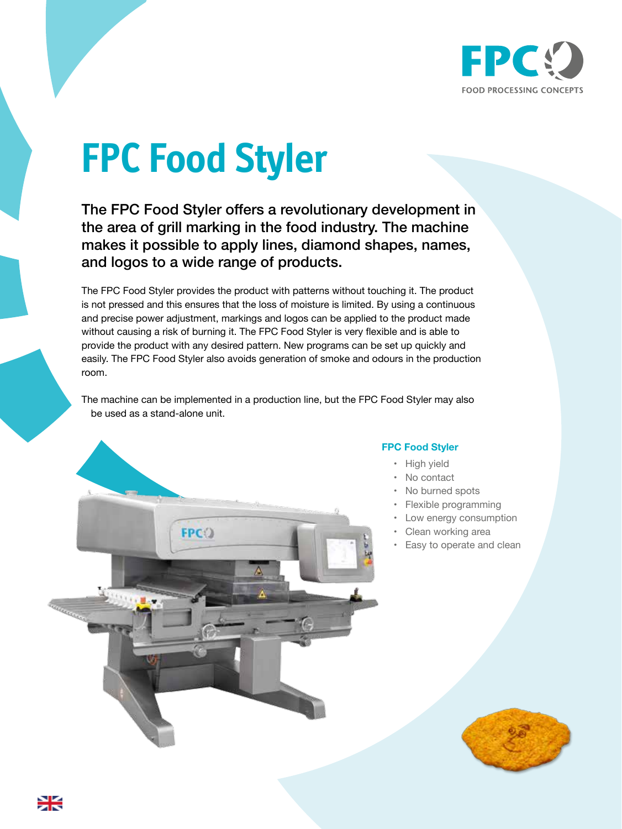

## **FPC Food Styler**

The FPC Food Styler offers a revolutionary development in the area of grill marking in the food industry. The machine makes it possible to apply lines, diamond shapes, names, and logos to a wide range of products.

The FPC Food Styler provides the product with patterns without touching it. The product is not pressed and this ensures that the loss of moisture is limited. By using a continuous and precise power adjustment, markings and logos can be applied to the product made without causing a risk of burning it. The FPC Food Styler is very flexible and is able to provide the product with any desired pattern. New programs can be set up quickly and easily. The FPC Food Styler also avoids generation of smoke and odours in the production room.

The machine can be implemented in a production line, but the FPC Food Styler may also be used as a stand-alone unit.



## **FPC Food Styler**

- High yield
- No contact
- No burned spots
- Flexible programming
- Low energy consumption
- Clean working area
- Easy to operate and clean